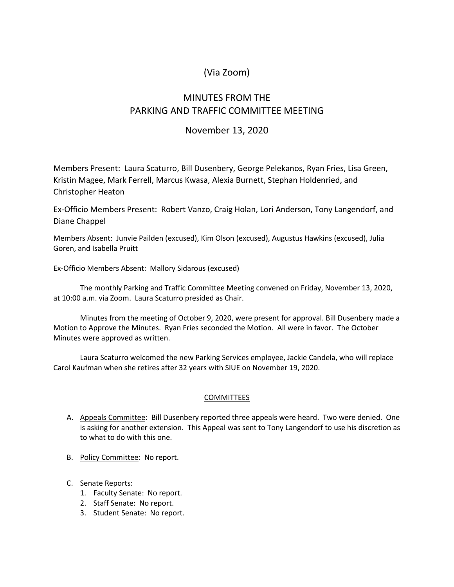## (Via Zoom)

# MINUTES FROM THE PARKING AND TRAFFIC COMMITTEE MEETING

## November 13, 2020

Members Present: Laura Scaturro, Bill Dusenbery, George Pelekanos, Ryan Fries, Lisa Green, Kristin Magee, Mark Ferrell, Marcus Kwasa, Alexia Burnett, Stephan Holdenried, and Christopher Heaton

Ex-Officio Members Present: Robert Vanzo, Craig Holan, Lori Anderson, Tony Langendorf, and Diane Chappel

Members Absent: Junvie Pailden (excused), Kim Olson (excused), Augustus Hawkins (excused), Julia Goren, and Isabella Pruitt

Ex-Officio Members Absent: Mallory Sidarous (excused)

The monthly Parking and Traffic Committee Meeting convened on Friday, November 13, 2020, at 10:00 a.m. via Zoom. Laura Scaturro presided as Chair.

Minutes from the meeting of October 9, 2020, were present for approval. Bill Dusenbery made a Motion to Approve the Minutes. Ryan Fries seconded the Motion. All were in favor. The October Minutes were approved as written.

Laura Scaturro welcomed the new Parking Services employee, Jackie Candela, who will replace Carol Kaufman when she retires after 32 years with SIUE on November 19, 2020.

### **COMMITTEES**

- A. Appeals Committee: Bill Dusenbery reported three appeals were heard. Two were denied. One is asking for another extension. This Appeal was sent to Tony Langendorf to use his discretion as to what to do with this one.
- B. Policy Committee: No report.
- C. Senate Reports:
	- 1. Faculty Senate: No report.
	- 2. Staff Senate: No report.
	- 3. Student Senate: No report.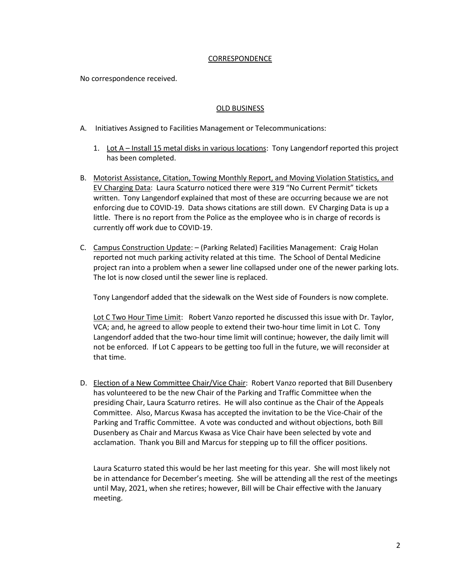#### CORRESPONDENCE

No correspondence received.

### OLD BUSINESS

- A. Initiatives Assigned to Facilities Management or Telecommunications:
	- 1. Lot A Install 15 metal disks in various locations: Tony Langendorf reported this project has been completed.
- B. Motorist Assistance, Citation, Towing Monthly Report, and Moving Violation Statistics, and EV Charging Data: Laura Scaturro noticed there were 319 "No Current Permit" tickets written. Tony Langendorf explained that most of these are occurring because we are not enforcing due to COVID-19. Data shows citations are still down. EV Charging Data is up a little. There is no report from the Police as the employee who is in charge of records is currently off work due to COVID-19.
- C. Campus Construction Update: (Parking Related) Facilities Management: Craig Holan reported not much parking activity related at this time. The School of Dental Medicine project ran into a problem when a sewer line collapsed under one of the newer parking lots. The lot is now closed until the sewer line is replaced.

Tony Langendorf added that the sidewalk on the West side of Founders is now complete.

Lot C Two Hour Time Limit: Robert Vanzo reported he discussed this issue with Dr. Taylor, VCA; and, he agreed to allow people to extend their two-hour time limit in Lot C. Tony Langendorf added that the two-hour time limit will continue; however, the daily limit will not be enforced. If Lot C appears to be getting too full in the future, we will reconsider at that time.

D. Election of a New Committee Chair/Vice Chair: Robert Vanzo reported that Bill Dusenbery has volunteered to be the new Chair of the Parking and Traffic Committee when the presiding Chair, Laura Scaturro retires. He will also continue as the Chair of the Appeals Committee. Also, Marcus Kwasa has accepted the invitation to be the Vice-Chair of the Parking and Traffic Committee. A vote was conducted and without objections, both Bill Dusenbery as Chair and Marcus Kwasa as Vice Chair have been selected by vote and acclamation. Thank you Bill and Marcus for stepping up to fill the officer positions.

Laura Scaturro stated this would be her last meeting for this year. She will most likely not be in attendance for December's meeting. She will be attending all the rest of the meetings until May, 2021, when she retires; however, Bill will be Chair effective with the January meeting.